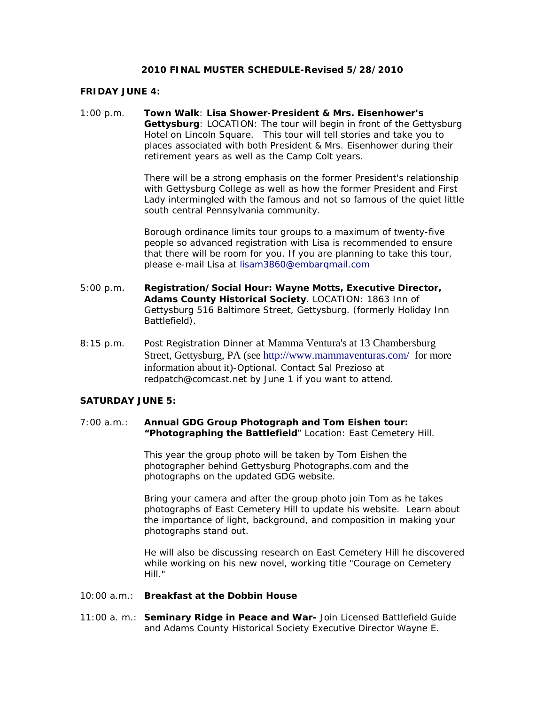## **2010 FINAL MUSTER SCHEDULE-Revised 5/28/2010**

### **FRIDAY JUNE 4:**

1:00 p.m. **Town Walk**: **Lisa Shower**-**President & Mrs. Eisenhower's Gettysburg**: *LOCATION: The tour will begin in front of the Gettysburg Hotel on Lincoln Square.* This tour will tell stories and take you to places associated with both President & Mrs. Eisenhower during their retirement years as well as the Camp Colt years.

> There will be a strong emphasis on the former President's relationship with Gettysburg College as well as how the former President and First Lady intermingled with the famous and not so famous of the quiet little south central Pennsylvania community.

Borough ordinance limits tour groups to a maximum of twenty-five people so advanced registration with Lisa is recommended to ensure that there will be room for you. If you are planning to take this tour, please e-mail Lisa at [lisam3860@embarqmail.com](mailto:lisam3860@embarqmail.com) 

- 5:00 p.m. **Registration/Social Hour: Wayne Motts, Executive Director, Adams County Historical Society**. *LOCATION: 1863 Inn of Gettysburg 516 Baltimore Street, Gettysburg*. (formerly Holiday Inn Battlefield).
- 8:15 p.m. Post Registration Dinner at Mamma Ventura's at 13 Chambersburg Street, Gettysburg, PA (see<http://www.mammaventuras.com/>for more information about it)-Optional. Contact Sal Prezioso at [redpatch@comcast.net](mailto:redpatch@comcast.net) by June 1 if you want to attend.

# **SATURDAY JUNE 5:**

## 7:00 a.m.: **Annual GDG Group Photograph and Tom Eishen tour: "Photographing the Battlefield**" Location: East Cemetery Hill.

This year the group photo will be taken by Tom Eishen the photographer behind Gettysburg Photographs.com and the photographs on the updated GDG website.

Bring your camera and after the group photo join Tom as he takes photographs of East Cemetery Hill to update his website. Learn about the importance of light, background, and composition in making your photographs stand out.

He will also be discussing research on East Cemetery Hill he discovered while working on his new novel, working title "Courage on Cemetery Hill."

#### 10:00 a.m.: **Breakfast at the Dobbin House**

11:00 a. m.: **Seminary Ridge in Peace and War-** Join Licensed Battlefield Guide and Adams County Historical Society Executive Director Wayne E.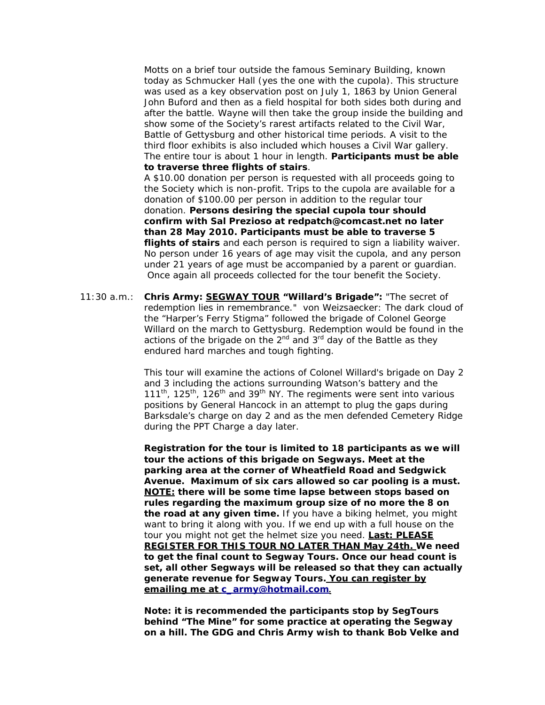Motts on a brief tour outside the famous Seminary Building, known today as Schmucker Hall (yes the one with the cupola). This structure was used as a key observation post on July 1, 1863 by Union General John Buford and then as a field hospital for both sides both during and after the battle. Wayne will then take the group inside the building and show some of the Society's rarest artifacts related to the Civil War, Battle of Gettysburg and other historical time periods. A visit to the third floor exhibits is also included which houses a Civil War gallery. The entire tour is about 1 hour in length. **Participants must be able to traverse three flights of stairs**.

A \$10.00 donation per person is requested with all proceeds going to the Society which is non-profit. Trips to the cupola are available for a donation of \$100.00 per person in addition to the regular tour donation. **Persons desiring the special cupola tour should confirm with Sal Prezioso at [redpatch@comcast.net](mailto:redpatch@comcast.net) no later than 28 May 2010. Participants must be able to traverse 5 flights of stairs** and each person is required to sign a liability waiver. No person under 16 years of age may visit the cupola, and any person under 21 years of age must be accompanied by a parent or guardian. Once again all proceeds collected for the tour benefit the Society.

11:30 a.m.: **Chris Army: SEGWAY TOUR "Willard's Brigade":** "The secret of redemption lies in remembrance." *von Weizsaecker:* The dark cloud of the "Harper's Ferry Stigma" followed the brigade of Colonel George Willard on the march to Gettysburg. Redemption would be found in the actions of the brigade on the  $2^{nd}$  and  $3^{rd}$  day of the Battle as they endured hard marches and tough fighting.

> This tour will examine the actions of Colonel Willard's brigade on Day 2 and 3 including the actions surrounding Watson's battery and the  $111<sup>th</sup>$ ,  $125<sup>th</sup>$ ,  $126<sup>th</sup>$  and  $39<sup>th</sup>$  NY. The regiments were sent into various positions by General Hancock in an attempt to plug the gaps during Barksdale's charge on day 2 and as the men defended Cemetery Ridge during the PPT Charge a day later.

> *Registration for the tour is limited to 18 participants as we will tour the actions of this brigade on Segways***. Meet at the parking area at the corner of Wheatfield Road and Sedgwick Avenue. Maximum of six cars allowed so car pooling is a must. NOTE: there will be some time lapse between stops based on rules regarding the maximum group size of no more the 8 on the road at any given time.** If you have a biking helmet, you might want to bring it along with you. If we end up with a full house on the tour you might not get the helmet size you need. *Last: PLEASE REGISTER FOR THIS TOUR NO LATER THAN May 24th.* **We need to get the final count to Segway Tours. Once our head count is set, all other Segways will be released so that they can actually generate revenue for Segway Tours.** *You can register by emailing me at c\_army@hotmail.com.*

**Note: it is recommended the participants stop by SegTours behind "The Mine" for some practice at operating the Segway on a hill. The GDG and Chris Army wish to thank Bob Velke and**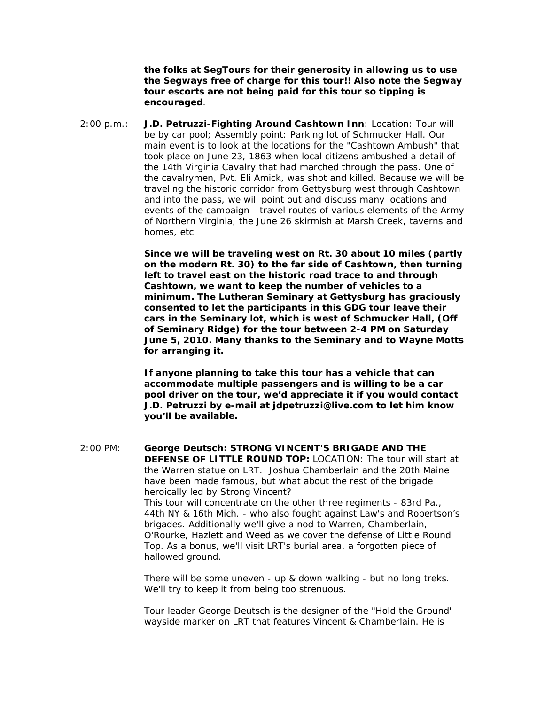**the folks at SegTours for their generosity in allowing us to use the Segways free of charge for this tour!! Also note the Segway tour escorts are not being paid for this tour so tipping is encouraged**.

2:00 p.m.: **J.D. Petruzzi-Fighting Around Cashtown Inn**: *Location: Tour will be by car pool; Assembly point: Parking lot of Schmucker Hall*. Our main event is to look at the locations for the "Cashtown Ambush" that took place on June 23, 1863 when local citizens ambushed a detail of the 14th Virginia Cavalry that had marched through the pass. One of the cavalrymen, Pvt. Eli Amick, was shot and killed. Because we will be traveling the historic corridor from Gettysburg west through Cashtown and into the pass, we will point out and discuss many locations and events of the campaign - travel routes of various elements of the Army of Northern Virginia, the June 26 skirmish at Marsh Creek, taverns and homes, etc.

> *Since we will be traveling west on Rt. 30 about 10 miles (partly on the modern Rt. 30) to the far side of Cashtown, then turning left to travel east on the historic road trace to and through Cashtown, we want to keep the number of vehicles to a minimum. The Lutheran Seminary at Gettysburg has graciously consented to let the participants in this GDG tour leave their cars in the Seminary lot, which is west of Schmucker Hall, (Off of Seminary Ridge) for the tour between 2-4 PM on Saturday June 5, 2010. Many thanks to the Seminary and to Wayne Motts for arranging it.*

*If anyone planning to take this tour has a vehicle that can accommodate multiple passengers and is willing to be a car pool driver on the tour, we'd appreciate it if you would contact J.D. Petruzzi by e-mail at [jdpetruzzi@live.com](mailto:jdpetruzzi@live.com) to let him know you'll be available.* 

2:00 PM: **George Deutsch:** *STRONG VINCENT'S BRIGADE AND THE DEFENSE OF LITTLE ROUND TOP: LOCATION: The tour will start at the Warren statue on LRT.* Joshua Chamberlain and the 20th Maine have been made famous, but what about the rest of the brigade heroically led by Strong Vincent? This tour will concentrate on the other three regiments - 83rd Pa., 44th NY & 16th Mich. - who also fought against Law's and Robertson's brigades. Additionally we'll give a nod to Warren, Chamberlain, O'Rourke, Hazlett and Weed as we cover the defense of Little Round Top. As a bonus, we'll visit LRT's burial area, a forgotten piece of hallowed ground.

> There will be some uneven - up & down walking - but no long treks. We'll try to keep it from being too strenuous.

Tour leader George Deutsch is the designer of the "Hold the Ground" wayside marker on LRT that features Vincent & Chamberlain. He is